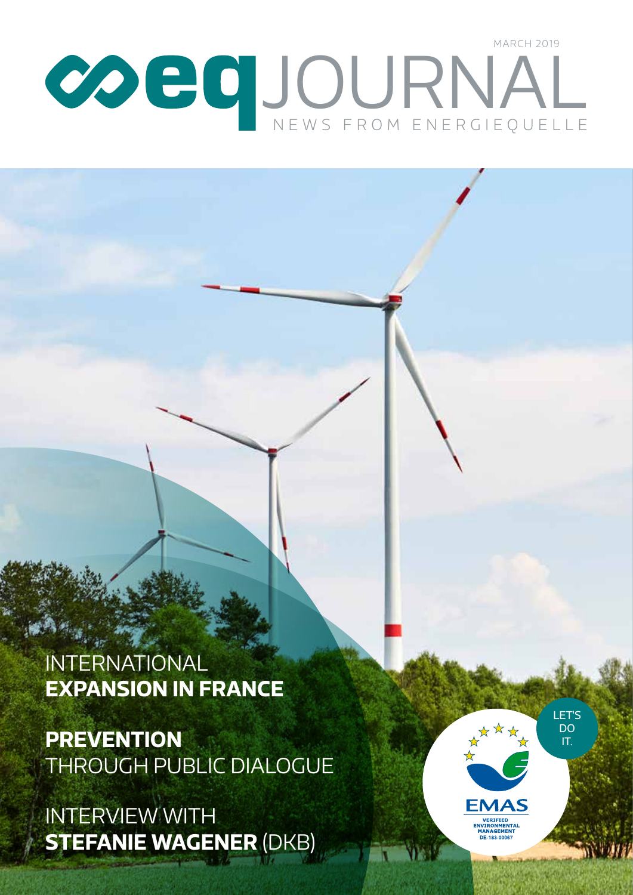# News from En ergiequelle JOURNAL March 2019

# INTERNATIONAL **EXPANSION IN FRANCE**

**PREVENTION**  THROUGH PUBLIC DIALOGUE

Interview with **Stefanie Wagener** (DKB)

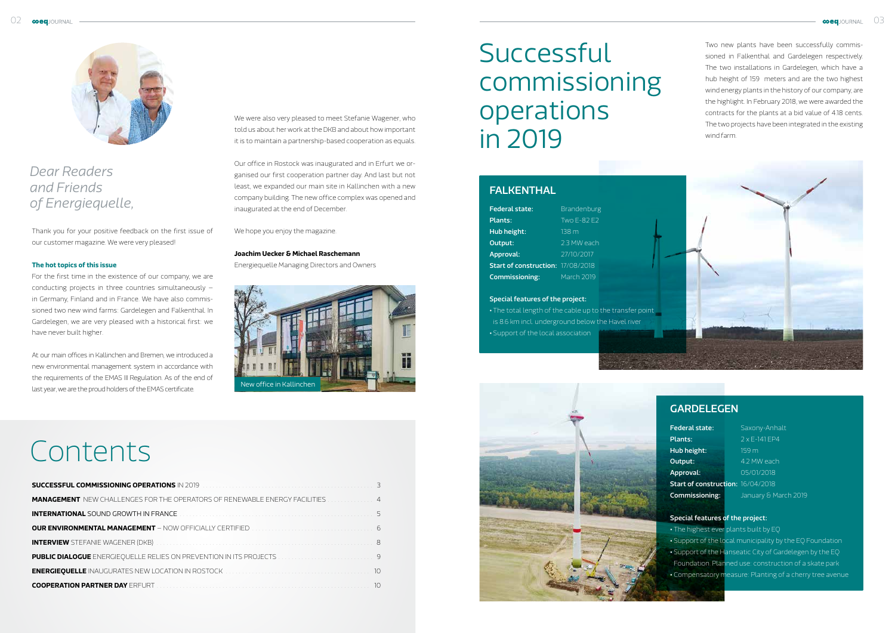Thank you for your positive feedback on the first issue of our customer magazine. We were very pleased!

### **The hot topics of this issue**

For the first time in the existence of our company, we are conducting projects in three countries simultaneously – in Germany, Finland and in France. We have also commissioned two new wind farms: Gardelegen and Falkenthal. In Gardelegen, we are very pleased with a historical first: we have never built higher.

At our main offices in Kallinchen and Bremen, we introduced a new environmental management system in accordance with the requirements of the EMAS III Regulation. As of the end of last year, we are the proud holders of the EMAS certificate.

# We were also very pleased to meet Stefanie Wagener, who told us about her work at the DKB and about how important it is to maintain a partnership-based cooperation as equals.

Our office in Rostock was inaugurated and in Erfurt we organised our first cooperation partner day. And last but not least, we expanded our main site in Kallinchen with a new company building. The new office complex was opened and inaugurated at the end of December.

We hope you enjoy the magazine.

### **Joachim Uecker & Michael Raschemann**

Energiequelle Managing Directors and Owners

# Contents

| <b>MANAGEMENT</b> NEW CHALLENGES FOR THE OPERATORS OF RENEWABLE ENERGY FACILITIES 4         |  |
|---------------------------------------------------------------------------------------------|--|
|                                                                                             |  |
|                                                                                             |  |
|                                                                                             |  |
|                                                                                             |  |
| ENERGIEQUELLE INAUGURATES NEW LOCATION IN ROSTOCK NATIONAL CONTINUES TO THE RESIDENCE IN 10 |  |
|                                                                                             |  |

Two new plants have been successfully commissioned in Falkenthal and Gardelegen respectively. The two installations in Gardelegen, which have a hub height of 159 meters and are the two highest wind energy plants in the history of our company, are the highlight. In February 2018, we were awarded the contracts for the plants at a bid value of 4.18 cents. The two projects have been integrated in the existing wind farm.



# **GARDELFGEN**

| <b>Federal state:</b>             | Brandenburg      |
|-----------------------------------|------------------|
| Plants:                           | $TwO F-82 F2$    |
| Hub height:                       | 138 <sub>m</sub> |
| Output:                           | 23 MW each       |
| Approval:                         | 27/10/2017       |
| Start of construction: 17/08/2018 |                  |
| Commissioning:                    | March 2019       |
|                                   |                  |

### Special features of the project:

- The total length of the cable up to the transfer point is 8.6 km incl. underground below the Havel river
- Support of the local association



# Successful commissioning operations in 2019

# **FALKENTHAL**

| Federal state:                    | Saxony-Anhalt        |
|-----------------------------------|----------------------|
| Plants:                           | $2x$ F-141 FP4       |
| Hub height:                       | 159 m                |
| Output:                           | 4.2 MW each          |
| Approval:                         | 05/01/2018           |
| Start of construction: 16/04/2018 |                      |
| Commissioning:                    | January & March 2019 |

# Special features of the project: • The highest ever plants built by EQ • Support of the local municipality by the EQ Foundation • Support of the Hanseatic City of Gardelegen by the EQ Foundation. Planned use: construction of a skate park • Compensatory measure: Planting of a cherry tree avenue



# *Dear Readers and Friends of Energiequelle,*

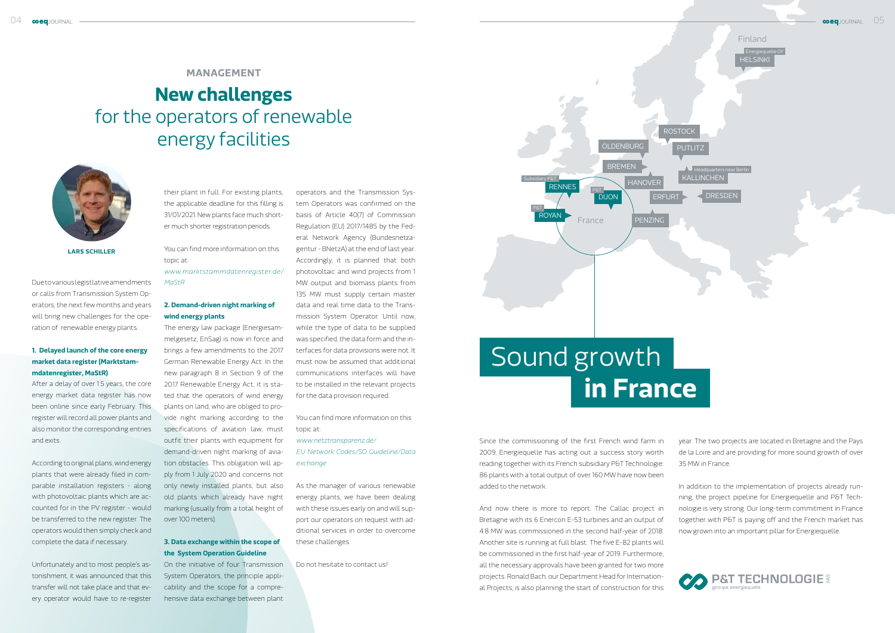**Lars Schiller**

# **New challenges**  for the operators of renewable energy facilities



their plant in full. For existing plants, the applicable deadline for this filling is 31/01/2021. New plants face much shorter much shorter registration periods.

You can find more information on this topic at:

*www.marktstammdatenregister.de/ MaStR*

### **2. Demand-driven night marking of wind energy plants**

The energy law package (Energiesammelgesetz, EnSag) is now in force and brings a few amendments to the 2017 German Renewable Energy Act. In the new paragraph 8 in Section 9 of the 2017 Renewable Energy Act, it is stated that the operators of wind energy plants on land, who are obliged to provide night marking according to the specifications of aviation law, must outfit their plants with equipment for demand-driven night marking of aviation obstacles. This obligation will apply from 1 July 2020 and concerns not only newly installed plants, but also old plants which already have night marking (usually from a total height of over 100 meters).

## **3. Data exchange within the scope of the System Operation Guideline**

On the initiative of four Transmission System Operators, the principle applicability and the scope for a comprehensive data exchange between plant operators and the Transmission Sys-

tem Operators was confirmed on the basis of Article 40(7) of Commission Regulation (EU) 2017/1485 by the Federal Network Agency (Bundesnetzagentur - BNetzA) at the end of last year. Accordingly, it is planned that both photovoltaic and wind projects from 1 MW output and biomass plants from 135 MW must supply certain master data and real time data to the Transmission System Operator. Until now, while the type of data to be supplied was specified, the data form and the interfaces for data provisions were not. It must now be assumed that additional communications interfaces will have to be installed in the relevant projects for the data provision required.

You can find more information on this topic at:

*www.netztransparenz.de/ EU Network Codes/SO Guideline/Data exchange*

As the manager of various renewable energy plants, we have been dealing with these issues early on and will support our operators on request with additional services in order to overcome these challenges.

Do not hesitate to contact us!

# **Management**

Due to various legistlative amendments or calls from Transmission System Operators, the next few months and years will bring new challenges for the operation of renewable energy plants.

# **1. Delayed launch of the core energy market data register (Marktstammdatenregister, MaStR)**

After a delay of over 1.5 years, the core energy market data register has now been online since early February. This register will record all power plants and also monitor the corresponding entries and exits.

According to original plans, wind energy plants that were already filed in comparable installation registers - along with photovoltaic plants which are accounted for in the PV register - would be transferred to the new register. The operators would then simply check and complete the data if necessary.

Unfortunately and to most people's astonishment, it was announced that this transfer will not take place and that every operator would have to re-register

Since the commissioning of the first French wind farm in 2009, Energiequelle has acting out a success story worth reading together with its French subsidiary P&T Technologie. 86 plants with a total output of over 160 MW have now been added to the network.

And now there is more to report. The Callac project in Bretagne with its 6 Enercon E-53 turbines and an output of 4.8 MW was commissioned in the second half-year of 2018. Another site is running at full blast: The five E-82 plants will be commissioned in the first half-year of 2019. Furthermore, all the necessary approvals have been granted for two more projects. Ronald Bach, our Department Head for International Projects, is also planning the start of construction for this

year. The two projects are located in Bretagne and the Pays de la Loire and are providing for more sound growth of over 35 MW in France.

In addition to the implementation of projects already running, the project pipeline for Energiequelle and P&T Technologie is very strong. Our long-term commitment in France together with P&T is paying off and the French market has now grown into an important pillar for Energiequelle.



# Sound growth **in France**

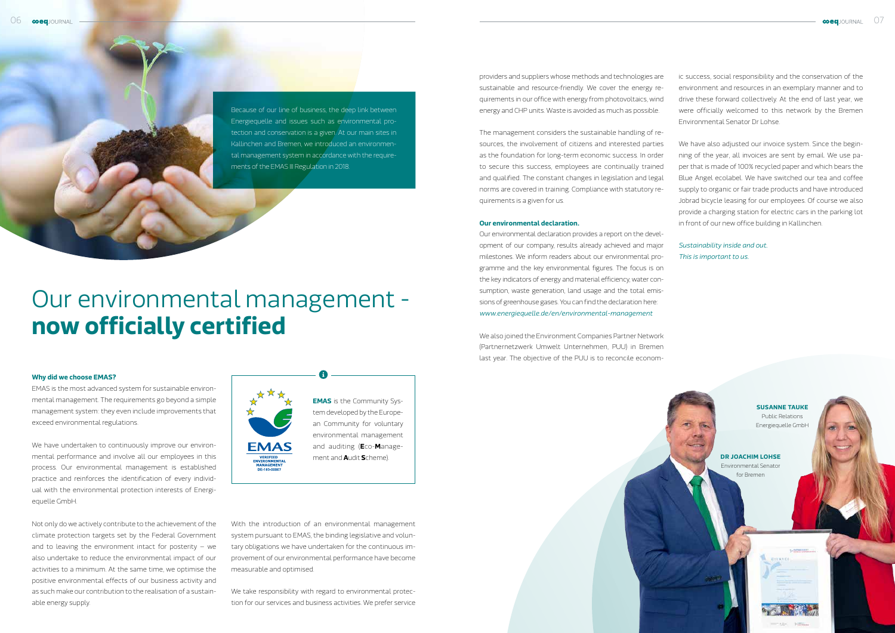### **Why did we choose EMAS?**

EMAS is the most advanced system for sustainable environmental management. The requirements go beyond a simple management system: they even include improvements that exceed environmental regulations.

We have undertaken to continuously improve our environmental performance and involve all our employees in this process. Our environmental management is established practice and reinforces the identification of every individual with the environmental protection interests of Energiequelle GmbH.

> We take responsibility with regard to environmental protection for our services and business activities. We prefer service

Not only do we actively contribute to the achievement of the climate protection targets set by the Federal Government and to leaving the environment intact for posterity – we also undertake to reduce the environmental impact of our activities to a minimum. At the same time, we optimise the positive environmental effects of our business activity and as such make our contribution to the realisation of a sustainable energy supply.

With the introduction of an environmental management system pursuant to EMAS, the binding legislative and voluntary obligations we have undertaken for the continuous improvement of our environmental performance have become measurable and optimised.

# Our environmental management **now officially certified**

Because of our line of business, the deep link between Energiequelle and issues such as environmental protection and conservation is a given. At our main sites in Kallinchen and Bremen, we introduced an environmental management system in accordance with the requirements of the EMAS III Regulation in 2018.

providers and suppliers whose methods and technologies are sustainable and resource-friendly. We cover the energy requirements in our office with energy from photovoltaics, wind energy and CHP units. Waste is avoided as much as possible.

The management considers the sustainable handling of resources, the involvement of citizens and interested parties as the foundation for long-term economic success. In order to secure this success, employees are continually trained and qualified. The constant changes in legislation and legal norms are covered in training. Compliance with statutory requirements is a given for us.

### **Our environmental declaration.**

Our environmental declaration provides a report on the development of our company, results already achieved and major milestones. We inform readers about our environmental programme and the key environmental figures. The focus is on the key indicators of energy and material efficiency, water consumption, waste generation, land usage and the total emissions of greenhouse gases. You can find the declaration here: *www.energiequelle.de/en/environmental-management*

We also joined the Environment Companies Partner Network (Partnernetzwerk Umwelt Unternehmen, PUU) in Bremen last year. The objective of the PUU is to reconcile econom-



ic success, social responsibility and the conservation of the environment and resources in an exemplary manner and to drive these forward collectively. At the end of last year, we were officially welcomed to this network by the Bremen Environmental Senator Dr Lohse.

We have also adjusted our invoice system. Since the beginning of the year, all invoices are sent by email. We use paper that is made of 100% recycled paper and which bears the Blue Angel ecolabel. We have switched our tea and coffee supply to organic or fair trade products and have introduced Jobrad bicycle leasing for our employees. Of course we also provide a charging station for electric cars in the parking lot in front of our new office building in Kallinchen.

*Sustainability inside and out. This is important to us.*



**Susanne Tauke** Public Relations Energiequelle GmbH

**Dr Joachim Lohse** Environmental Senator for Bremen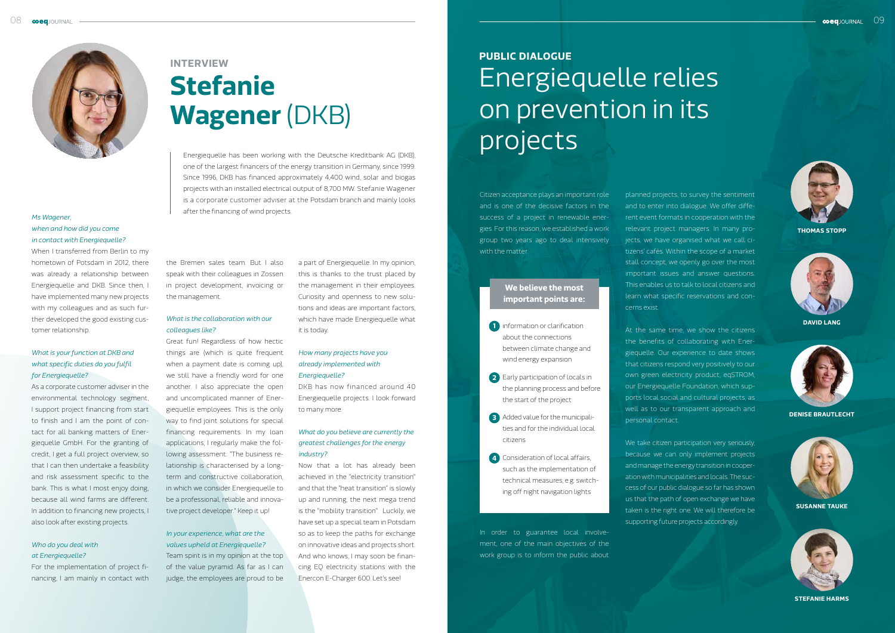



**David LanG**



**Denise Brautlecht**



**Susanne Tauke**



**Stefanie Harms**

# *Ms Wagener, when and how did you come in contact with Energiequelle?*

When I transferred from Berlin to my hometown of Potsdam in 2012, there was already a relationship between Energiequelle and DKB. Since then, I have implemented many new projects with my colleagues and as such further developed the good existing customer relationship.

# *What is your function at DKB and what specific duties do you fulfil for Energiequelle?*

As a corporate customer adviser in the environmental technology segment, I support project financing from start to finish and I am the point of contact for all banking matters of Energiequelle GmbH. For the granting of credit, I get a full project overview, so that I can then undertake a feasibility and risk assessment specific to the bank. This is what I most enjoy doing, because all wind farms are different. In addition to financing new projects, I also look after existing projects.

### *Who do you deal with at Energiequelle?*

For the implementation of project financing, I am mainly in contact with

# **Stefanie Wagener** (DKB) **Interview**

Energiequelle has been working with the Deutsche Kreditbank AG (DKB), one of the largest financers of the energy transition in Germany, since 1999. Since 1996, DKB has financed approximately 4,400 wind, solar and biogas projects with an installed electrical output of 8,700 MW. Stefanie Wagener is a corporate customer adviser at the Potsdam branch and mainly looks after the financing of wind projects.

the Bremen sales team. But I also speak with their colleagues in Zossen in project development, invoicing or the management.

# *What is the collaboration with our colleagues like?*

Great fun! Regardless of how hectic things are (which is quite frequent when a payment date is coming up), we still have a friendly word for one another. I also appreciate the open and uncomplicated manner of Energiequelle employees. This is the only way to find joint solutions for special financing requirements. In my loan applications, I regularly make the following assessment: "The business relationship is characterised by a longterm and constructive collaboration, in which we consider Energiequelle to be a professional, reliable and innovative project developer." Keep it up!

# *In your experience, what are the values upheld at Energiequelle?*

Team spirit is in my opinion at the top of the value pyramid. As far as I can judge, the employees are proud to be

We take citizen participation very seriously, because we can only implement projects and manage the energy transition in cooperation with municipalities and locals. The success of our public dialogue so far has shown us that the path of open exchange we have taken is the right one. We will therefore be supporting future projects accordingly.

a part of Energiequelle. In my opinion, this is thanks to the trust placed by the management in their employees. Curiosity and openness to new solutions and ideas are important factors, which have made Energiequelle what it is today.

- **1** information or clarification about the connections between climate change and wind energy expansion
- **2** Early participation of locals in the planning process and before the start of the project
- **3** Added value for the municipalities and for the individual local citizens
- **4** Consideration of local affairs, such as the implementation of technical measures, e.g. switching off night navigation lights

## *How many projects have you already implemented with Energiequelle?*

DKB has now financed around 40 Energiequelle projects. I look forward to many more.

# *What do you believe are currently the greatest challenges for the energy industry?*

Now that a lot has already been achieved in the "electricity transition" and that the "heat transition" is slowly up and running, the next mega trend is the "mobility transition". Luckily, we have set up a special team in Potsdam so as to keep the paths for exchange on innovative ideas and projects short. And who knows, I may soon be financing EQ electricity stations with the Enercon E-Charger 600. Let's see!

Citizen acceptance plays an important role and is one of the decisive factors in the success of a project in renewable energies. For this reason, we established a work group two years ago to deal intensively with the matter.

In order to guarantee local involvement, one of the main objectives of the work group is to inform the public about

# Energiequelle relies on prevention in its projects **Public dialogue**

planned projects, to survey the sentiment and to enter into dialogue. We offer different event formats in cooperation with the relevant project managers. In many projects, we have organised what we call citizens' cafés. Within the scope of a market stall concept, we openly go over the most important issues and answer questions. This enables us to talk to local citizens and learn what specific reservations and concerns exist.

At the same time, we show the citizens the benefits of collaborating with Energiequelle. Our experience to date shows that citizens respond very positively to our own green electricity product, eqSTROM, our Energiequelle Foundation, which supports local social and cultural projects, as well as to our transparent approach and personal contact.

# **We believe the most important points are:**

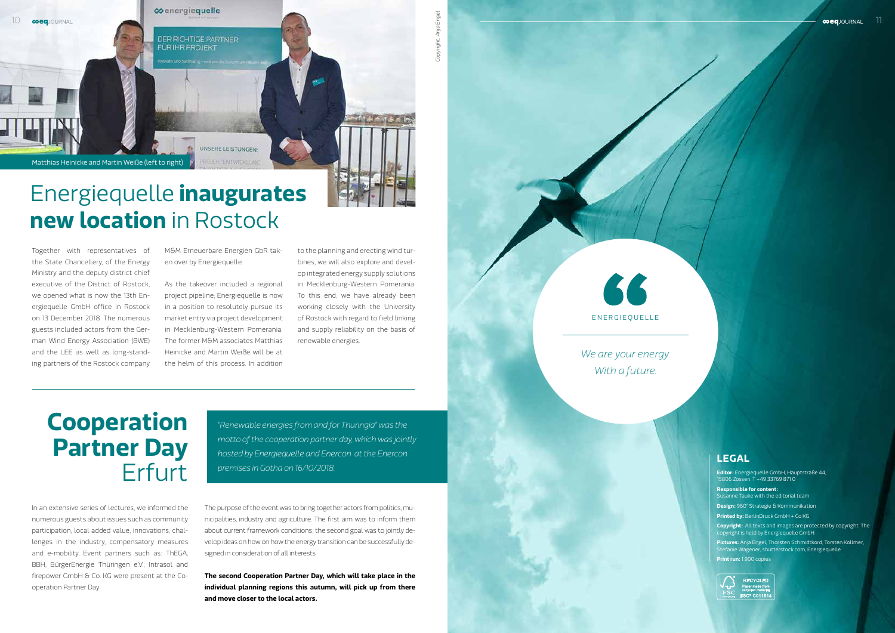*Copyright: Anja Engel*

Together with representatives of the State Chancellery, of the Energy Ministry and the deputy district chief executive of the District of Rostock, we opened what is now the 13th Energiequelle GmbH office in Rostock on 13 December 2018. The numerous guests included actors from the German Wind Energy Association (BWE) and the LEE as well as long-standing partners of the Rostock company M&M Erneuerbare Energien GbR taken over by Energiequelle.

As the takeover included a regional project pipeline, Energiequelle is now in a position to resolutely pursue its market entry via project development in Mecklenburg-Western Pomerania. The former M&M associates Matthias Heinicke and Martin Weiße will be at the helm of this process. In addition

to the planning and erecting wind turbines, we will also explore and develop integrated energy supply solutions in Mecklenburg-Western Pomerania. To this end, we have already been working closely with the University of Rostock with regard to field linking and supply reliability on the basis of renewable energies.

# **Cooperation Partner Day Erfurt**

# Energiequelle **inaugurates new location** in Rostock

In an extensive series of lectures, we informed the numerous guests about issues such as community participation, local added value, innovations, challenges in the industry, compensatory measures and e-mobility. Event partners such as: ThEGA, BBH, BürgerEnergie Thüringen e.V., Intrasol and firepower GmbH & Co. KG were present at the Cooperation Partner Day.

The purpose of the event was to bring together actors from politics, municipalities, industry and agriculture. The first aim was to inform them about current framework conditions; the second goal was to jointly develop ideas on how on how the energy transition can be successfully designed in consideration of all interests.

**The second Cooperation Partner Day, which will take place in the individual planning regions this autumn, will pick up from there and move closer to the local actors.**



*"Renewable energies from and for Thuringia" was the motto of the cooperation partner day, which was jointly hosted by Energiequelle and Enercon at the Enercon premises in Gotha on 16/10/2018.* 

*We are your energy. With a future.*



# **Legal**

**Editor:** Energiequelle GmbH, Hauptstraße 44, 15806 Zossen, T +49 33769 871 0

**Responsible for content:** usanne Tauke with the editorial team **Design:** 960° Strategie & Kommunikation **Printed by:** BerlinDruck GmbH + Co KG **Copyright:** All texts and images are protected by copyright. The pyright is held by Energiequelle GmbH. **Pictures:** Anja Engel, Thorsten Schmidtkord, Torsten Kollmer,

Stefanie Wagener, shutterstock.com, Energiequelle **Print run:** 1,900 copies



**RECYCLED SC® C01181**